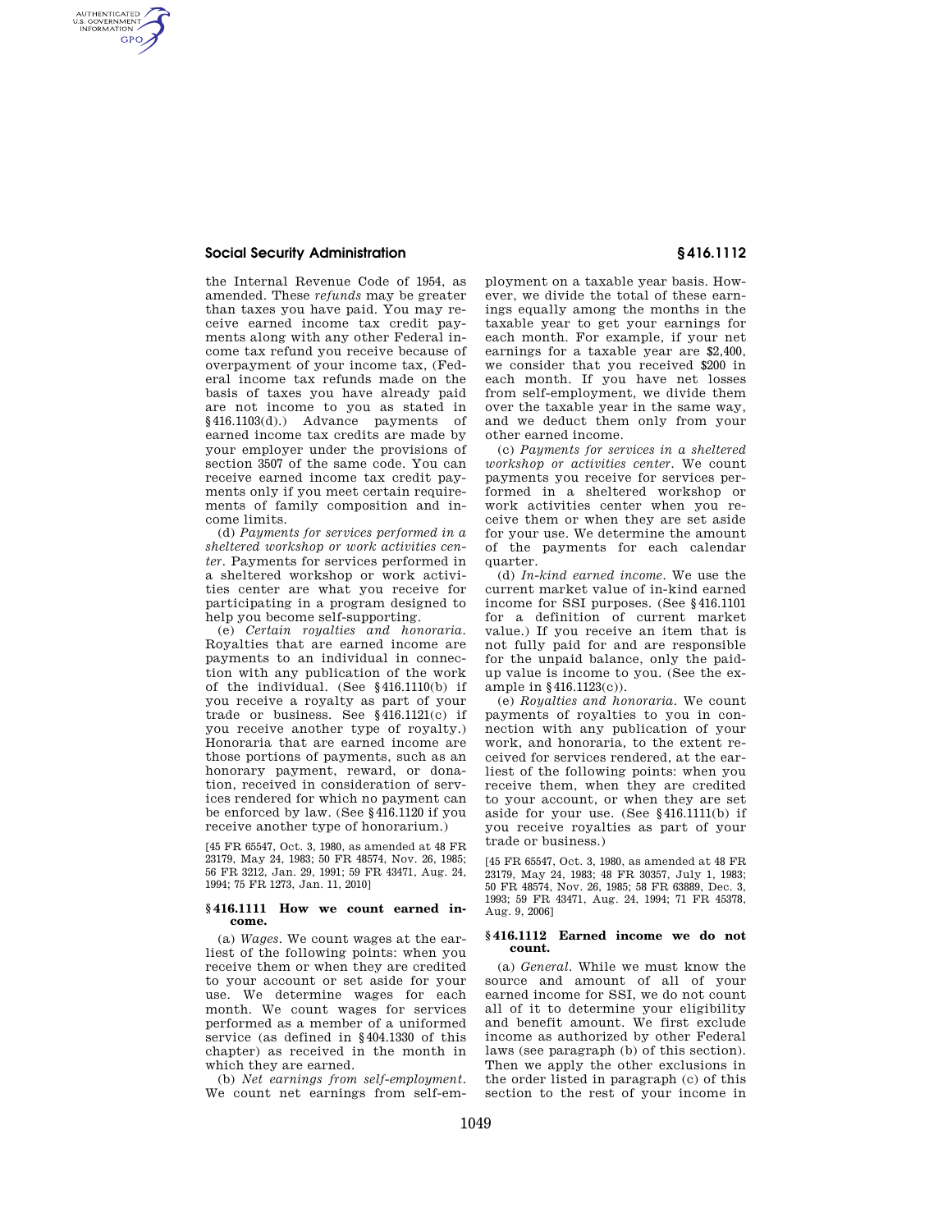# **Social Security Administration § 416.1112**

AUTHENTICATED<br>U.S. GOVERNMENT<br>INFORMATION **GPO** 

> the Internal Revenue Code of 1954, as amended. These *refunds* may be greater than taxes you have paid. You may receive earned income tax credit payments along with any other Federal income tax refund you receive because of overpayment of your income tax, (Federal income tax refunds made on the basis of taxes you have already paid are not income to you as stated in §416.1103(d).) Advance payments of earned income tax credits are made by your employer under the provisions of section 3507 of the same code. You can receive earned income tax credit payments only if you meet certain requirements of family composition and income limits.

> (d) *Payments for services performed in a sheltered workshop or work activities center.* Payments for services performed in a sheltered workshop or work activities center are what you receive for participating in a program designed to help you become self-supporting.

> (e) *Certain royalties and honoraria.*  Royalties that are earned income are payments to an individual in connection with any publication of the work of the individual. (See §416.1110(b) if you receive a royalty as part of your trade or business. See §416.1121(c) if you receive another type of royalty.) Honoraria that are earned income are those portions of payments, such as an honorary payment, reward, or donation, received in consideration of services rendered for which no payment can be enforced by law. (See §416.1120 if you receive another type of honorarium.)

[45 FR 65547, Oct. 3, 1980, as amended at 48 FR 23179, May 24, 1983; 50 FR 48574, Nov. 26, 1985; 56 FR 3212, Jan. 29, 1991; 59 FR 43471, Aug. 24, 1994; 75 FR 1273, Jan. 11, 2010]

## **§ 416.1111 How we count earned income.**

(a) *Wages.* We count wages at the earliest of the following points: when you receive them or when they are credited to your account or set aside for your use. We determine wages for each month. We count wages for services performed as a member of a uniformed service (as defined in §404.1330 of this chapter) as received in the month in which they are earned.

(b) *Net earnings from self-employment.*  We count net earnings from self-em-

ployment on a taxable year basis. However, we divide the total of these earnings equally among the months in the taxable year to get your earnings for each month. For example, if your net earnings for a taxable year are \$2,400, we consider that you received \$200 in each month. If you have net losses from self-employment, we divide them over the taxable year in the same way, and we deduct them only from your other earned income.

(c) *Payments for services in a sheltered workshop or activities center.* We count payments you receive for services performed in a sheltered workshop or work activities center when you receive them or when they are set aside for your use. We determine the amount of the payments for each calendar quarter.

(d) *In-kind earned income.* We use the current market value of in-kind earned income for SSI purposes. (See §416.1101 for a definition of current market value.) If you receive an item that is not fully paid for and are responsible for the unpaid balance, only the paidup value is income to you. (See the example in §416.1123(c)).

(e) *Royalties and honoraria.* We count payments of royalties to you in connection with any publication of your work, and honoraria, to the extent received for services rendered, at the earliest of the following points: when you receive them, when they are credited to your account, or when they are set aside for your use. (See §416.1111(b) if you receive royalties as part of your trade or business.)

[45 FR 65547, Oct. 3, 1980, as amended at 48 FR 23179, May 24, 1983; 48 FR 30357, July 1, 1983; 50 FR 48574, Nov. 26, 1985; 58 FR 63889, Dec. 3, 1993; 59 FR 43471, Aug. 24, 1994; 71 FR 45378, Aug. 9, 2006]

## **§ 416.1112 Earned income we do not count.**

(a) *General.* While we must know the source and amount of all of your earned income for SSI, we do not count all of it to determine your eligibility and benefit amount. We first exclude income as authorized by other Federal laws (see paragraph (b) of this section). Then we apply the other exclusions in the order listed in paragraph (c) of this section to the rest of your income in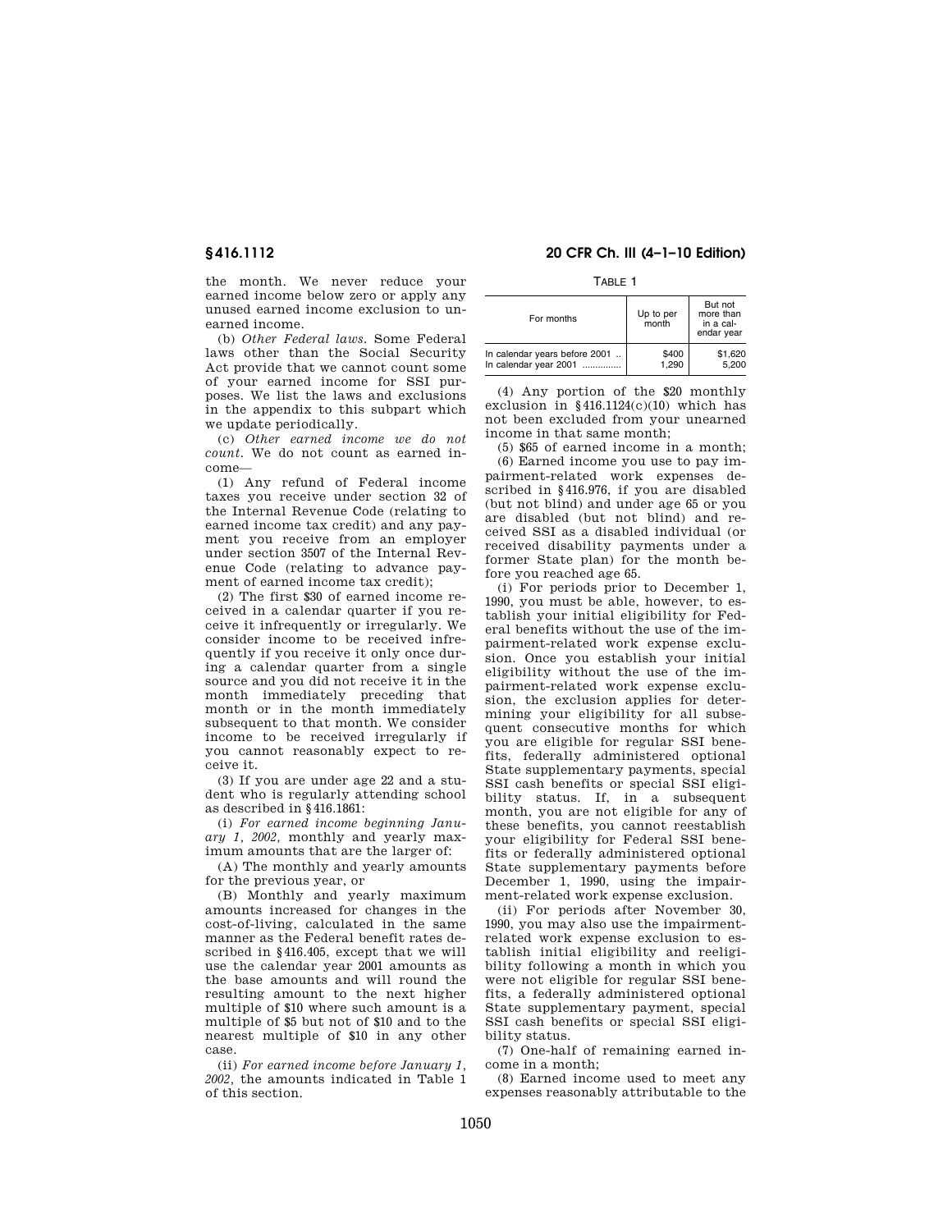the month. We never reduce your earned income below zero or apply any unused earned income exclusion to unearned income.

(b) *Other Federal laws.* Some Federal laws other than the Social Security Act provide that we cannot count some of your earned income for SSI purposes. We list the laws and exclusions in the appendix to this subpart which we update periodically.

(c) *Other earned income we do not count.* We do not count as earned income—

(1) Any refund of Federal income taxes you receive under section 32 of the Internal Revenue Code (relating to earned income tax credit) and any payment you receive from an employer under section 3507 of the Internal Revenue Code (relating to advance payment of earned income tax credit);

(2) The first \$30 of earned income received in a calendar quarter if you receive it infrequently or irregularly. We consider income to be received infrequently if you receive it only once during a calendar quarter from a single source and you did not receive it in the month immediately preceding that month or in the month immediately subsequent to that month. We consider income to be received irregularly if you cannot reasonably expect to receive it.

(3) If you are under age 22 and a student who is regularly attending school as described in §416.1861:

(i) *For earned income beginning January 1, 2002,* monthly and yearly maximum amounts that are the larger of:

(A) The monthly and yearly amounts for the previous year, or

(B) Monthly and yearly maximum amounts increased for changes in the cost-of-living, calculated in the same manner as the Federal benefit rates described in §416.405, except that we will use the calendar year 2001 amounts as the base amounts and will round the resulting amount to the next higher multiple of \$10 where such amount is a multiple of \$5 but not of \$10 and to the nearest multiple of \$10 in any other case.

(ii) *For earned income before January 1, 2002,* the amounts indicated in Table 1 of this section.

# **§ 416.1112 20 CFR Ch. III (4–1–10 Edition)**

TABLE 1

| For months                    | Up to per<br>month | But not<br>more than<br>in a cal-<br>endar year |
|-------------------------------|--------------------|-------------------------------------------------|
| In calendar years before 2001 | \$400              | \$1,620                                         |
| In calendar year 2001         | 1.290              | 5.200                                           |

(4) Any portion of the \$20 monthly exclusion in §416.1124(c)(10) which has not been excluded from your unearned income in that same month;

(5) \$65 of earned income in a month; (6) Earned income you use to pay impairment-related work expenses described in §416.976, if you are disabled (but not blind) and under age 65 or you are disabled (but not blind) and received SSI as a disabled individual (or received disability payments under a former State plan) for the month before you reached age 65.

(i) For periods prior to December 1, 1990, you must be able, however, to establish your initial eligibility for Federal benefits without the use of the impairment-related work expense exclusion. Once you establish your initial eligibility without the use of the impairment-related work expense exclusion, the exclusion applies for determining your eligibility for all subsequent consecutive months for which you are eligible for regular SSI benefits, federally administered optional State supplementary payments, special SSI cash benefits or special SSI eligibility status. If, in a subsequent month, you are not eligible for any of these benefits, you cannot reestablish your eligibility for Federal SSI benefits or federally administered optional State supplementary payments before December 1, 1990, using the impairment-related work expense exclusion.

(ii) For periods after November 30, 1990, you may also use the impairmentrelated work expense exclusion to establish initial eligibility and reeligibility following a month in which you were not eligible for regular SSI benefits, a federally administered optional State supplementary payment, special SSI cash benefits or special SSI eligibility status.

(7) One-half of remaining earned income in a month;

(8) Earned income used to meet any expenses reasonably attributable to the